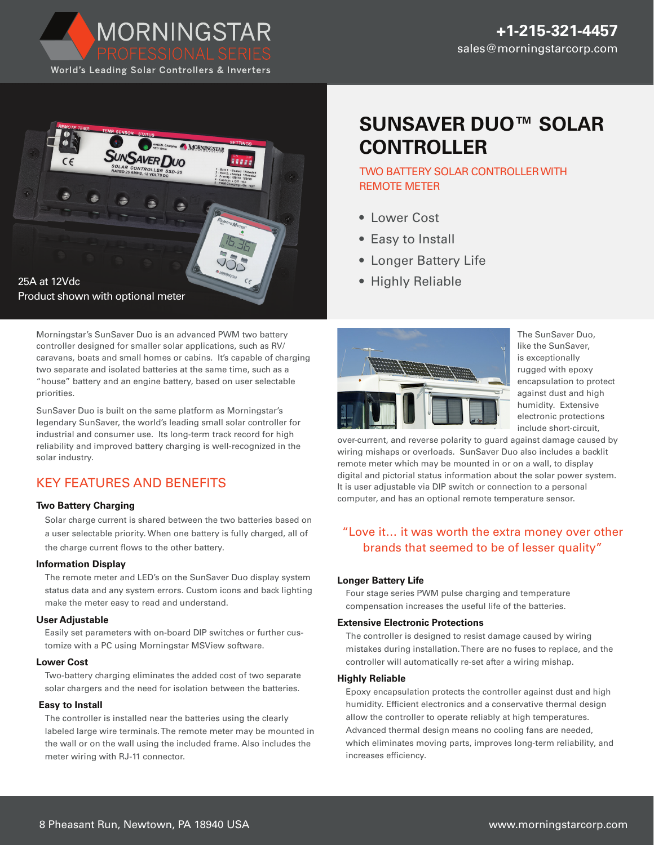



Morningstar's SunSaver Duo is an advanced PWM two battery controller designed for smaller solar applications, such as RV/ caravans, boats and small homes or cabins. It's capable of charging two separate and isolated batteries at the same time, such as a "house" battery and an engine battery, based on user selectable priorities.

SunSaver Duo is built on the same platform as Morningstar's legendary SunSaver, the world's leading small solar controller for industrial and consumer use. Its long-term track record for high reliability and improved battery charging is well-recognized in the solar industry.

# KEY FEATURES AND BENEFITS

#### **Two Battery Charging**

Solar charge current is shared between the two batteries based on a user selectable priority. When one battery is fully charged, all of the charge current flows to the other battery.

#### **Information Display**

The remote meter and LED's on the SunSaver Duo display system status data and any system errors. Custom icons and back lighting make the meter easy to read and understand.

#### **User Adjustable**

Easily set parameters with on-board DIP switches or further customize with a PC using Morningstar MSView software.

#### **Lower Cost**

Two-battery charging eliminates the added cost of two separate solar chargers and the need for isolation between the batteries.

#### **Easy to Install**

The controller is installed near the batteries using the clearly labeled large wire terminals. The remote meter may be mounted in the wall or on the wall using the included frame. Also includes the meter wiring with RJ-11 connector.

# **SUNSAVER DUO™ SOLAR CONTROLLER**

## TWO BATTERY SOLAR CONTROLLER WITH REMOTE METER

- Lower Cost
- Easy to Install
- Longer Battery Life
- Highly Reliable



The SunSaver Duo, like the SunSaver, is exceptionally rugged with epoxy encapsulation to protect against dust and high humidity. Extensive electronic protections include short-circuit,

over-current, and reverse polarity to guard against damage caused by wiring mishaps or overloads. SunSaver Duo also includes a backlit remote meter which may be mounted in or on a wall, to display digital and pictorial status information about the solar power system. It is user adjustable via DIP switch or connection to a personal computer, and has an optional remote temperature sensor.

## "Love it… it was worth the extra money over other brands that seemed to be of lesser quality"

#### **Longer Battery Life**

Four stage series PWM pulse charging and temperature compensation increases the useful life of the batteries.

#### **Extensive Electronic Protections**

The controller is designed to resist damage caused by wiring mistakes during installation. There are no fuses to replace, and the controller will automatically re-set after a wiring mishap.

#### **Highly Reliable**

Epoxy encapsulation protects the controller against dust and high humidity. Efficient electronics and a conservative thermal design allow the controller to operate reliably at high temperatures. Advanced thermal design means no cooling fans are needed, which eliminates moving parts, improves long-term reliability, and increases efficiency.